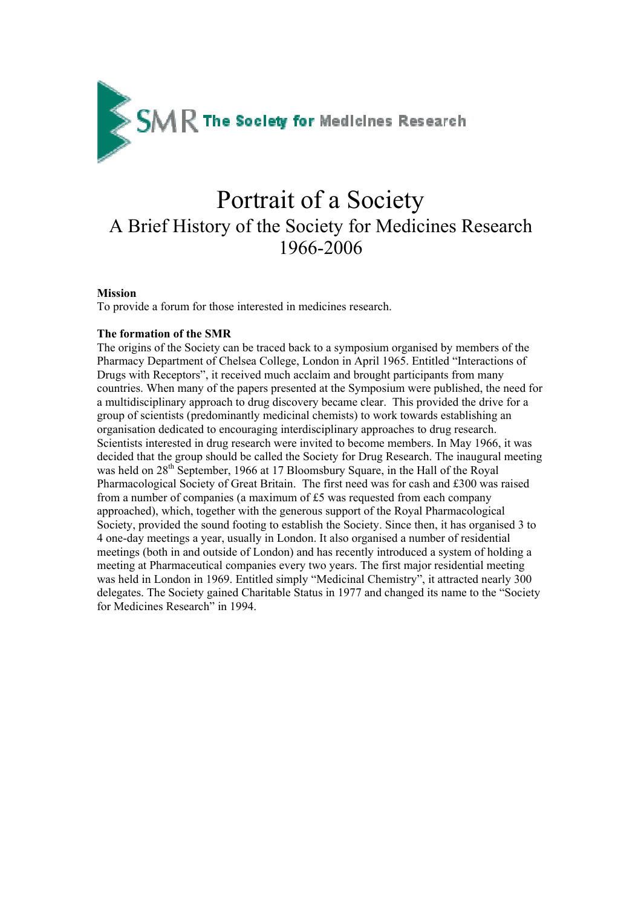

# Portrait of a Society A Brief History of the Society for Medicines Research 1966-2006

## **Mission**

To provide a forum for those interested in medicines research.

## **The formation of the SMR**

The origins of the Society can be traced back to a symposium organised by members of the Pharmacy Department of Chelsea College, London in April 1965. Entitled "Interactions of Drugs with Receptors", it received much acclaim and brought participants from many countries. When many of the papers presented at the Symposium were published, the need for a multidisciplinary approach to drug discovery became clear. This provided the drive for a group of scientists (predominantly medicinal chemists) to work towards establishing an organisation dedicated to encouraging interdisciplinary approaches to drug research. Scientists interested in drug research were invited to become members. In May 1966, it was decided that the group should be called the Society for Drug Research. The inaugural meeting was held on 28<sup>th</sup> September, 1966 at 17 Bloomsbury Square, in the Hall of the Royal Pharmacological Society of Great Britain. The first need was for cash and £300 was raised from a number of companies (a maximum of £5 was requested from each company approached), which, together with the generous support of the Royal Pharmacological Society, provided the sound footing to establish the Society. Since then, it has organised 3 to 4 one-day meetings a year, usually in London. It also organised a number of residential meetings (both in and outside of London) and has recently introduced a system of holding a meeting at Pharmaceutical companies every two years. The first major residential meeting was held in London in 1969. Entitled simply "Medicinal Chemistry", it attracted nearly 300 delegates. The Society gained Charitable Status in 1977 and changed its name to the "Society for Medicines Research" in 1994.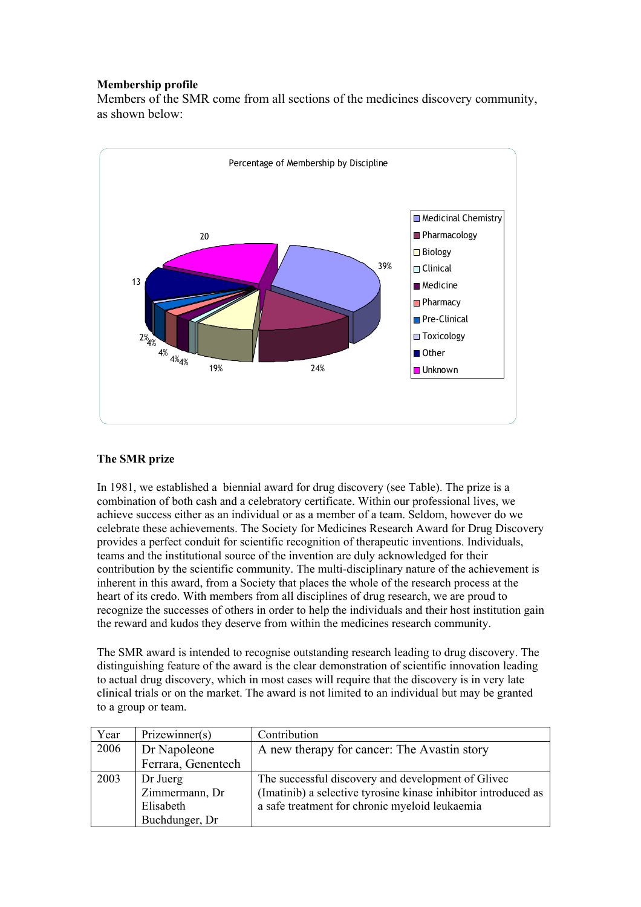# **Membership profile**

Members of the SMR come from all sections of the medicines discovery community, as shown below:



# **The SMR prize**

In 1981, we established a biennial award for drug discovery (see Table). The prize is a combination of both cash and a celebratory certificate. Within our professional lives, we achieve success either as an individual or as a member of a team. Seldom, however do we celebrate these achievements. The Society for Medicines Research Award for Drug Discovery provides a perfect conduit for scientific recognition of therapeutic inventions. Individuals, teams and the institutional source of the invention are duly acknowledged for their contribution by the scientific community. The multi-disciplinary nature of the achievement is inherent in this award, from a Society that places the whole of the research process at the heart of its credo. With members from all disciplines of drug research, we are proud to recognize the successes of others in order to help the individuals and their host institution gain the reward and kudos they deserve from within the medicines research community.

The SMR award is intended to recognise outstanding research leading to drug discovery. The distinguishing feature of the award is the clear demonstration of scientific innovation leading to actual drug discovery, which in most cases will require that the discovery is in very late clinical trials or on the market. The award is not limited to an individual but may be granted to a group or team.

| Year | Prizewinner(s)     | Contribution                                                   |
|------|--------------------|----------------------------------------------------------------|
| 2006 | Dr Napoleone       | A new therapy for cancer: The Avastin story                    |
|      | Ferrara, Genentech |                                                                |
| 2003 | Dr Juerg           | The successful discovery and development of Glivec             |
|      | Zimmermann, Dr     | (Imatinib) a selective tyrosine kinase inhibitor introduced as |
|      | Elisabeth          | a safe treatment for chronic myeloid leukaemia                 |
|      | Buchdunger, Dr     |                                                                |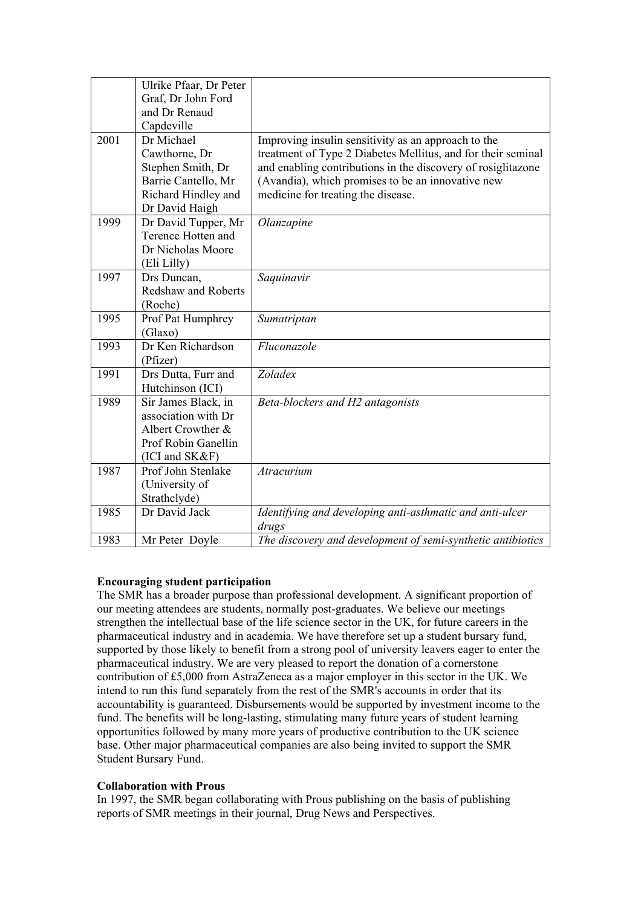|      | Ulrike Pfaar, Dr Peter     |                                                              |
|------|----------------------------|--------------------------------------------------------------|
|      | Graf, Dr John Ford         |                                                              |
|      | and Dr Renaud              |                                                              |
|      | Capdeville                 |                                                              |
| 2001 | Dr Michael                 | Improving insulin sensitivity as an approach to the          |
|      | Cawthorne, Dr              | treatment of Type 2 Diabetes Mellitus, and for their seminal |
|      | Stephen Smith, Dr          | and enabling contributions in the discovery of rosiglitazone |
|      | Barrie Cantello, Mr        | (Avandia), which promises to be an innovative new            |
|      | Richard Hindley and        | medicine for treating the disease.                           |
|      | Dr David Haigh             |                                                              |
| 1999 | Dr David Tupper, Mr        | Olanzapine                                                   |
|      | Terence Hotten and         |                                                              |
|      | Dr Nicholas Moore          |                                                              |
|      | (Eli Lilly)                |                                                              |
| 1997 | Drs Duncan,                | Saquinavir                                                   |
|      | <b>Redshaw and Roberts</b> |                                                              |
|      | (Roche)                    |                                                              |
| 1995 | Prof Pat Humphrey          | Sumatriptan                                                  |
|      | (Glaxo)                    |                                                              |
| 1993 | Dr Ken Richardson          | Fluconazole                                                  |
|      | (Pfizer)                   |                                                              |
| 1991 | Drs Dutta, Furr and        | Zoladex                                                      |
|      | Hutchinson (ICI)           |                                                              |
| 1989 | Sir James Black, in        | Beta-blockers and H2 antagonists                             |
|      | association with Dr        |                                                              |
|      | Albert Crowther &          |                                                              |
|      | Prof Robin Ganellin        |                                                              |
|      | (ICI and SK&F)             |                                                              |
| 1987 | Prof John Stenlake         | Atracurium                                                   |
|      | (University of             |                                                              |
|      | Strathclyde)               |                                                              |
| 1985 | Dr David Jack              | Identifying and developing anti-asthmatic and anti-ulcer     |
|      |                            | drugs                                                        |
| 1983 | Mr Peter Doyle             | The discovery and development of semi-synthetic antibiotics  |

# **Encouraging student participation**

The SMR has a broader purpose than professional development. A significant proportion of our meeting attendees are students, normally post-graduates. We believe our meetings strengthen the intellectual base of the life science sector in the UK, for future careers in the pharmaceutical industry and in academia. We have therefore set up a student bursary fund, supported by those likely to benefit from a strong pool of university leavers eager to enter the pharmaceutical industry. We are very pleased to report the donation of a cornerstone contribution of £5,000 from AstraZeneca as a major employer in this sector in the UK. We intend to run this fund separately from the rest of the SMR's accounts in order that its accountability is guaranteed. Disbursements would be supported by investment income to the fund. The benefits will be long-lasting, stimulating many future years of student learning opportunities followed by many more years of productive contribution to the UK science base. Other major pharmaceutical companies are also being invited to support the SMR Student Bursary Fund.

## **Collaboration with Prous**

In 1997, the SMR began collaborating with Prous publishing on the basis of publishing reports of SMR meetings in their journal, Drug News and Perspectives.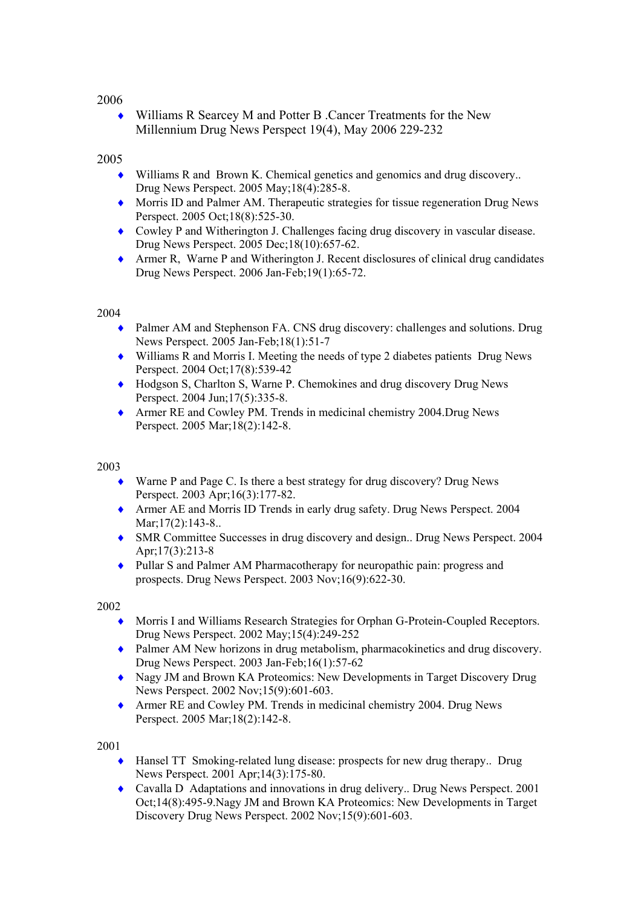♦ Williams R Searcey M and Potter B .Cancer Treatments for the New Millennium Drug News Perspect 19(4), May 2006 229-232

## 2005

- Williams R and Brown K. Chemical genetics and genomics and drug discovery... Drug News Perspect. 2005 May;18(4):285-8.
- ♦ Morris ID and Palmer AM. Therapeutic strategies for tissue regeneration Drug News Perspect. 2005 Oct;18(8):525-30.
- ♦ Cowley P and Witherington J. Challenges facing drug discovery in vascular disease. Drug News Perspect. 2005 Dec;18(10):657-62.
- ♦ Armer R, Warne P and Witherington J. Recent disclosures of clinical drug candidates Drug News Perspect. 2006 Jan-Feb;19(1):65-72.

## 2004

- ♦ Palmer AM and Stephenson FA. CNS drug discovery: challenges and solutions. Drug News Perspect. 2005 Jan-Feb;18(1):51-7
- ♦ Williams R and Morris I. Meeting the needs of type 2 diabetes patients Drug News Perspect. 2004 Oct;17(8):539-42
- ♦ Hodgson S, Charlton S, Warne P. Chemokines and drug discovery Drug News Perspect. 2004 Jun;17(5):335-8.
- ♦ Armer RE and Cowley PM. Trends in medicinal chemistry 2004.Drug News Perspect. 2005 Mar;18(2):142-8.

## 2003

- ♦ Warne P and Page C. Is there a best strategy for drug discovery? Drug News Perspect. 2003 Apr;16(3):177-82.
- ♦ Armer AE and Morris ID Trends in early drug safety. Drug News Perspect. 2004 Mar; 17(2): 143-8..
- ♦ SMR Committee Successes in drug discovery and design.. Drug News Perspect. 2004 Apr;17(3):213-8
- ♦ Pullar S and Palmer AM Pharmacotherapy for neuropathic pain: progress and prospects. Drug News Perspect. 2003 Nov;16(9):622-30.

## 2002

- ♦ Morris I and Williams Research Strategies for Orphan G-Protein-Coupled Receptors. Drug News Perspect. 2002 May;15(4):249-252
- ♦ Palmer AM New horizons in drug metabolism, pharmacokinetics and drug discovery. Drug News Perspect. 2003 Jan-Feb;16(1):57-62
- ♦ Nagy JM and Brown KA Proteomics: New Developments in Target Discovery Drug News Perspect. 2002 Nov;15(9):601-603.
- ♦ Armer RE and Cowley PM. Trends in medicinal chemistry 2004. Drug News Perspect. 2005 Mar;18(2):142-8.

- ♦ Hansel TT Smoking-related lung disease: prospects for new drug therapy.. Drug News Perspect. 2001 Apr;14(3):175-80.
- ♦ Cavalla D Adaptations and innovations in drug delivery.. Drug News Perspect. 2001 Oct;14(8):495-9.Nagy JM and Brown KA Proteomics: New Developments in Target Discovery Drug News Perspect. 2002 Nov;15(9):601-603.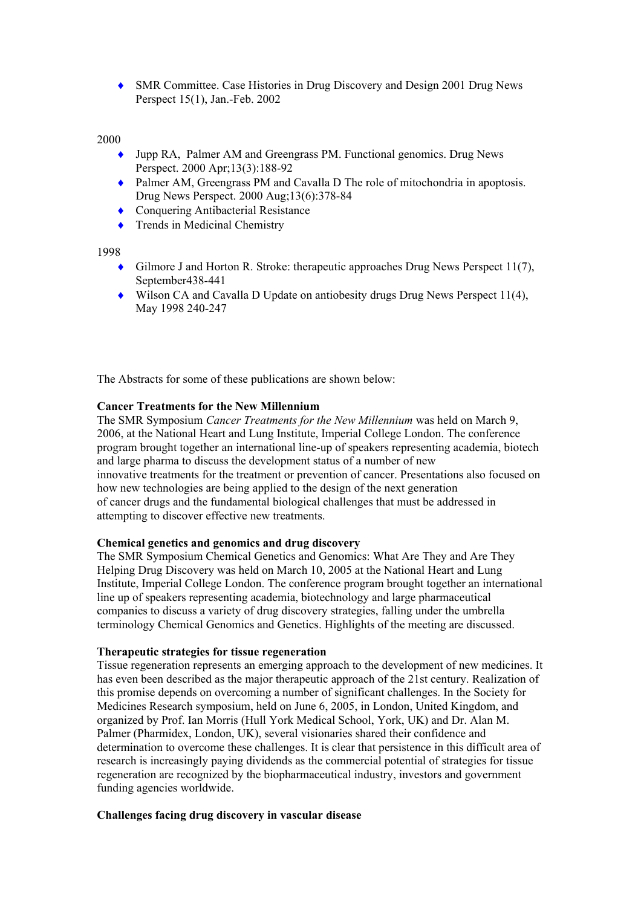♦ SMR Committee. Case Histories in Drug Discovery and Design 2001 Drug News Perspect 15(1), Jan.-Feb. 2002

## 2000

- ♦ Jupp RA, Palmer AM and Greengrass PM. Functional genomics. Drug News Perspect. 2000 Apr;13(3):188-92
- ♦ Palmer AM, Greengrass PM and Cavalla D The role of mitochondria in apoptosis. Drug News Perspect. 2000 Aug;13(6):378-84
- ◆ Conquering Antibacterial Resistance
- Trends in Medicinal Chemistry

1998

- ♦ Gilmore J and Horton R. Stroke: therapeutic approaches Drug News Perspect 11(7), September<sub>438-441</sub>
- ♦ Wilson CA and Cavalla D Update on antiobesity drugs Drug News Perspect 11(4), May 1998 240-247

The Abstracts for some of these publications are shown below:

## **Cancer Treatments for the New Millennium**

The SMR Symposium *Cancer Treatments for the New Millennium* was held on March 9, 2006, at the National Heart and Lung Institute, Imperial College London. The conference program brought together an international line-up of speakers representing academia, biotech and large pharma to discuss the development status of a number of new innovative treatments for the treatment or prevention of cancer. Presentations also focused on how new technologies are being applied to the design of the next generation of cancer drugs and the fundamental biological challenges that must be addressed in attempting to discover effective new treatments.

## **Chemical genetics and genomics and drug discovery**

The SMR Symposium Chemical Genetics and Genomics: What Are They and Are They Helping Drug Discovery was held on March 10, 2005 at the National Heart and Lung Institute, Imperial College London. The conference program brought together an international line up of speakers representing academia, biotechnology and large pharmaceutical companies to discuss a variety of drug discovery strategies, falling under the umbrella terminology Chemical Genomics and Genetics. Highlights of the meeting are discussed.

#### **Therapeutic strategies for tissue regeneration**

Tissue regeneration represents an emerging approach to the development of new medicines. It has even been described as the major therapeutic approach of the 21st century. Realization of this promise depends on overcoming a number of significant challenges. In the Society for Medicines Research symposium, held on June 6, 2005, in London, United Kingdom, and organized by Prof. Ian Morris (Hull York Medical School, York, UK) and Dr. Alan M. Palmer (Pharmidex, London, UK), several visionaries shared their confidence and determination to overcome these challenges. It is clear that persistence in this difficult area of research is increasingly paying dividends as the commercial potential of strategies for tissue regeneration are recognized by the biopharmaceutical industry, investors and government funding agencies worldwide.

#### **Challenges facing drug discovery in vascular disease**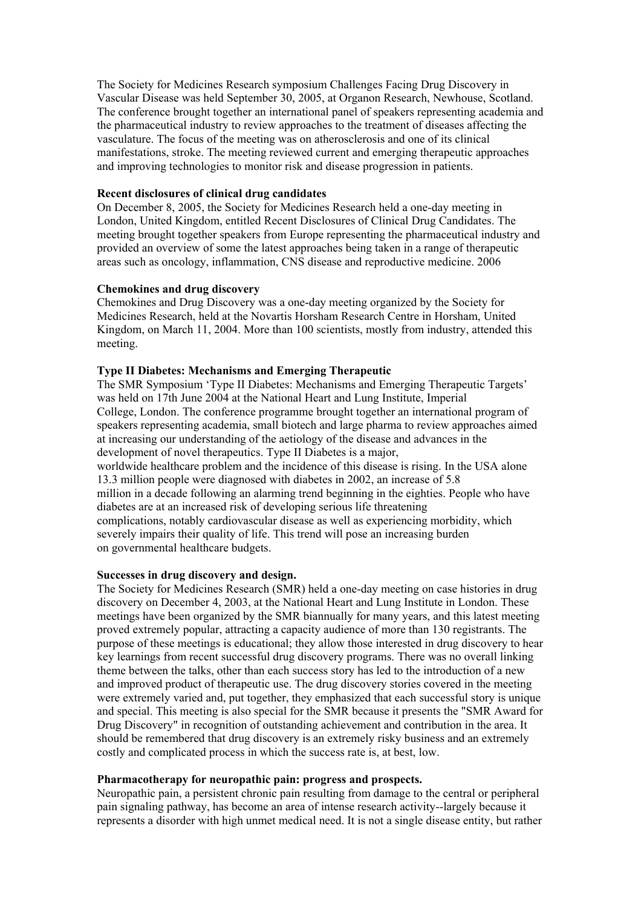The Society for Medicines Research symposium Challenges Facing Drug Discovery in Vascular Disease was held September 30, 2005, at Organon Research, Newhouse, Scotland. The conference brought together an international panel of speakers representing academia and the pharmaceutical industry to review approaches to the treatment of diseases affecting the vasculature. The focus of the meeting was on atherosclerosis and one of its clinical manifestations, stroke. The meeting reviewed current and emerging therapeutic approaches and improving technologies to monitor risk and disease progression in patients.

## **Recent disclosures of clinical drug candidates**

On December 8, 2005, the Society for Medicines Research held a one-day meeting in London, United Kingdom, entitled Recent Disclosures of Clinical Drug Candidates. The meeting brought together speakers from Europe representing the pharmaceutical industry and provided an overview of some the latest approaches being taken in a range of therapeutic areas such as oncology, inflammation, CNS disease and reproductive medicine. 2006

## **Chemokines and drug discovery**

Chemokines and Drug Discovery was a one-day meeting organized by the Society for Medicines Research, held at the Novartis Horsham Research Centre in Horsham, United Kingdom, on March 11, 2004. More than 100 scientists, mostly from industry, attended this meeting.

## **Type II Diabetes: Mechanisms and Emerging Therapeutic**

The SMR Symposium 'Type II Diabetes: Mechanisms and Emerging Therapeutic Targets' was held on 17th June 2004 at the National Heart and Lung Institute, Imperial College, London. The conference programme brought together an international program of speakers representing academia, small biotech and large pharma to review approaches aimed at increasing our understanding of the aetiology of the disease and advances in the development of novel therapeutics. Type II Diabetes is a major, worldwide healthcare problem and the incidence of this disease is rising. In the USA alone 13.3 million people were diagnosed with diabetes in 2002, an increase of 5.8 million in a decade following an alarming trend beginning in the eighties. People who have diabetes are at an increased risk of developing serious life threatening complications, notably cardiovascular disease as well as experiencing morbidity, which severely impairs their quality of life. This trend will pose an increasing burden

on governmental healthcare budgets.

## **Successes in drug discovery and design.**

The Society for Medicines Research (SMR) held a one-day meeting on case histories in drug discovery on December 4, 2003, at the National Heart and Lung Institute in London. These meetings have been organized by the SMR biannually for many years, and this latest meeting proved extremely popular, attracting a capacity audience of more than 130 registrants. The purpose of these meetings is educational; they allow those interested in drug discovery to hear key learnings from recent successful drug discovery programs. There was no overall linking theme between the talks, other than each success story has led to the introduction of a new and improved product of therapeutic use. The drug discovery stories covered in the meeting were extremely varied and, put together, they emphasized that each successful story is unique and special. This meeting is also special for the SMR because it presents the "SMR Award for Drug Discovery" in recognition of outstanding achievement and contribution in the area. It should be remembered that drug discovery is an extremely risky business and an extremely costly and complicated process in which the success rate is, at best, low.

## **Pharmacotherapy for neuropathic pain: progress and prospects.**

Neuropathic pain, a persistent chronic pain resulting from damage to the central or peripheral pain signaling pathway, has become an area of intense research activity--largely because it represents a disorder with high unmet medical need. It is not a single disease entity, but rather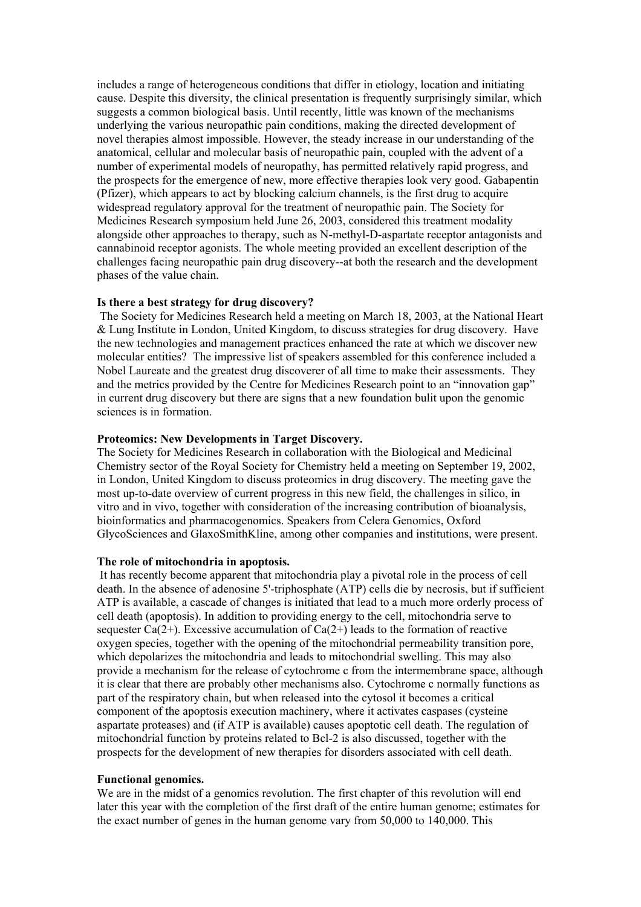includes a range of heterogeneous conditions that differ in etiology, location and initiating cause. Despite this diversity, the clinical presentation is frequently surprisingly similar, which suggests a common biological basis. Until recently, little was known of the mechanisms underlying the various neuropathic pain conditions, making the directed development of novel therapies almost impossible. However, the steady increase in our understanding of the anatomical, cellular and molecular basis of neuropathic pain, coupled with the advent of a number of experimental models of neuropathy, has permitted relatively rapid progress, and the prospects for the emergence of new, more effective therapies look very good. Gabapentin (Pfizer), which appears to act by blocking calcium channels, is the first drug to acquire widespread regulatory approval for the treatment of neuropathic pain. The Society for Medicines Research symposium held June 26, 2003, considered this treatment modality alongside other approaches to therapy, such as N-methyl-D-aspartate receptor antagonists and cannabinoid receptor agonists. The whole meeting provided an excellent description of the challenges facing neuropathic pain drug discovery--at both the research and the development phases of the value chain.

## **Is there a best strategy for drug discovery?**

 The Society for Medicines Research held a meeting on March 18, 2003, at the National Heart & Lung Institute in London, United Kingdom, to discuss strategies for drug discovery. Have the new technologies and management practices enhanced the rate at which we discover new molecular entities? The impressive list of speakers assembled for this conference included a Nobel Laureate and the greatest drug discoverer of all time to make their assessments. They and the metrics provided by the Centre for Medicines Research point to an "innovation gap" in current drug discovery but there are signs that a new foundation bulit upon the genomic sciences is in formation.

#### **Proteomics: New Developments in Target Discovery.**

The Society for Medicines Research in collaboration with the Biological and Medicinal Chemistry sector of the Royal Society for Chemistry held a meeting on September 19, 2002, in London, United Kingdom to discuss proteomics in drug discovery. The meeting gave the most up-to-date overview of current progress in this new field, the challenges in silico, in vitro and in vivo, together with consideration of the increasing contribution of bioanalysis, bioinformatics and pharmacogenomics. Speakers from Celera Genomics, Oxford GlycoSciences and GlaxoSmithKline, among other companies and institutions, were present.

#### **The role of mitochondria in apoptosis.**

 It has recently become apparent that mitochondria play a pivotal role in the process of cell death. In the absence of adenosine 5'-triphosphate (ATP) cells die by necrosis, but if sufficient ATP is available, a cascade of changes is initiated that lead to a much more orderly process of cell death (apoptosis). In addition to providing energy to the cell, mitochondria serve to sequester Ca(2+). Excessive accumulation of Ca(2+) leads to the formation of reactive oxygen species, together with the opening of the mitochondrial permeability transition pore, which depolarizes the mitochondria and leads to mitochondrial swelling. This may also provide a mechanism for the release of cytochrome c from the intermembrane space, although it is clear that there are probably other mechanisms also. Cytochrome c normally functions as part of the respiratory chain, but when released into the cytosol it becomes a critical component of the apoptosis execution machinery, where it activates caspases (cysteine aspartate proteases) and (if ATP is available) causes apoptotic cell death. The regulation of mitochondrial function by proteins related to Bcl-2 is also discussed, together with the prospects for the development of new therapies for disorders associated with cell death.

#### **Functional genomics.**

We are in the midst of a genomics revolution. The first chapter of this revolution will end later this year with the completion of the first draft of the entire human genome; estimates for the exact number of genes in the human genome vary from 50,000 to 140,000. This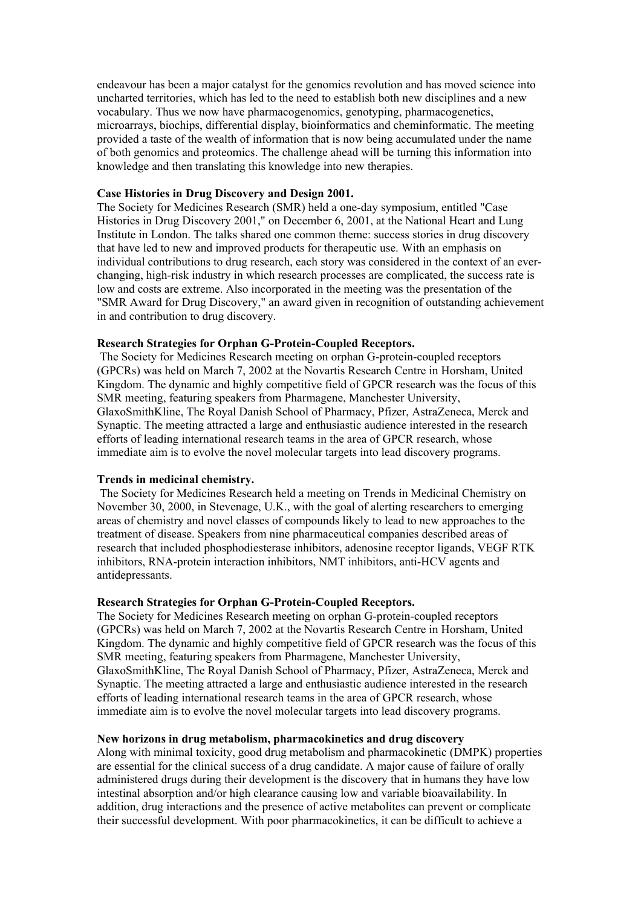endeavour has been a major catalyst for the genomics revolution and has moved science into uncharted territories, which has led to the need to establish both new disciplines and a new vocabulary. Thus we now have pharmacogenomics, genotyping, pharmacogenetics, microarrays, biochips, differential display, bioinformatics and cheminformatic. The meeting provided a taste of the wealth of information that is now being accumulated under the name of both genomics and proteomics. The challenge ahead will be turning this information into knowledge and then translating this knowledge into new therapies.

## **Case Histories in Drug Discovery and Design 2001.**

The Society for Medicines Research (SMR) held a one-day symposium, entitled "Case Histories in Drug Discovery 2001," on December 6, 2001, at the National Heart and Lung Institute in London. The talks shared one common theme: success stories in drug discovery that have led to new and improved products for therapeutic use. With an emphasis on individual contributions to drug research, each story was considered in the context of an everchanging, high-risk industry in which research processes are complicated, the success rate is low and costs are extreme. Also incorporated in the meeting was the presentation of the "SMR Award for Drug Discovery," an award given in recognition of outstanding achievement in and contribution to drug discovery.

#### **Research Strategies for Orphan G-Protein-Coupled Receptors.**

 The Society for Medicines Research meeting on orphan G-protein-coupled receptors (GPCRs) was held on March 7, 2002 at the Novartis Research Centre in Horsham, United Kingdom. The dynamic and highly competitive field of GPCR research was the focus of this SMR meeting, featuring speakers from Pharmagene, Manchester University, GlaxoSmithKline, The Royal Danish School of Pharmacy, Pfizer, AstraZeneca, Merck and Synaptic. The meeting attracted a large and enthusiastic audience interested in the research efforts of leading international research teams in the area of GPCR research, whose immediate aim is to evolve the novel molecular targets into lead discovery programs.

#### **Trends in medicinal chemistry.**

 The Society for Medicines Research held a meeting on Trends in Medicinal Chemistry on November 30, 2000, in Stevenage, U.K., with the goal of alerting researchers to emerging areas of chemistry and novel classes of compounds likely to lead to new approaches to the treatment of disease. Speakers from nine pharmaceutical companies described areas of research that included phosphodiesterase inhibitors, adenosine receptor ligands, VEGF RTK inhibitors, RNA-protein interaction inhibitors, NMT inhibitors, anti-HCV agents and antidepressants.

## **Research Strategies for Orphan G-Protein-Coupled Receptors.**

The Society for Medicines Research meeting on orphan G-protein-coupled receptors (GPCRs) was held on March 7, 2002 at the Novartis Research Centre in Horsham, United Kingdom. The dynamic and highly competitive field of GPCR research was the focus of this SMR meeting, featuring speakers from Pharmagene, Manchester University, GlaxoSmithKline, The Royal Danish School of Pharmacy, Pfizer, AstraZeneca, Merck and Synaptic. The meeting attracted a large and enthusiastic audience interested in the research efforts of leading international research teams in the area of GPCR research, whose immediate aim is to evolve the novel molecular targets into lead discovery programs.

#### **New horizons in drug metabolism, pharmacokinetics and drug discovery**

Along with minimal toxicity, good drug metabolism and pharmacokinetic (DMPK) properties are essential for the clinical success of a drug candidate. A major cause of failure of orally administered drugs during their development is the discovery that in humans they have low intestinal absorption and/or high clearance causing low and variable bioavailability. In addition, drug interactions and the presence of active metabolites can prevent or complicate their successful development. With poor pharmacokinetics, it can be difficult to achieve a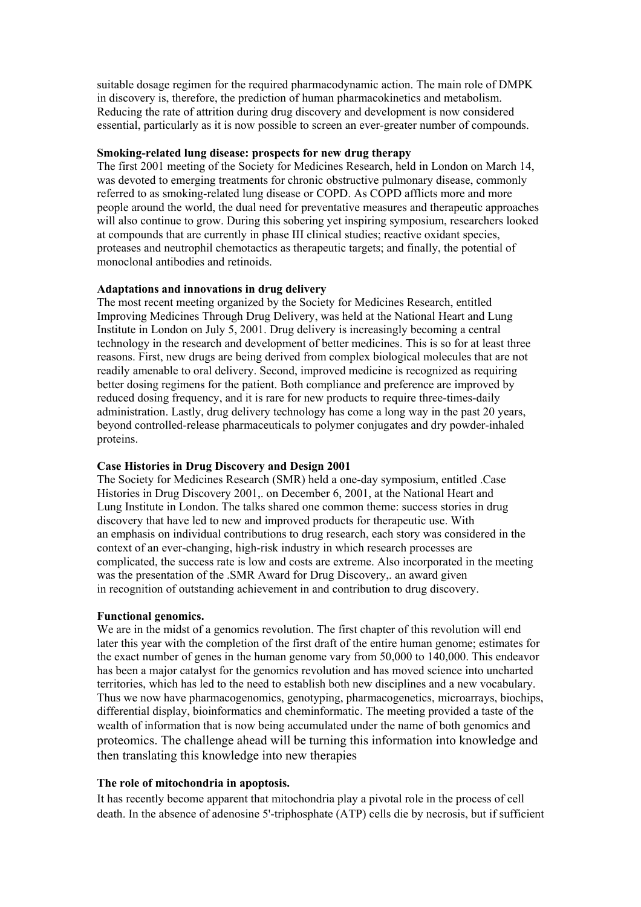suitable dosage regimen for the required pharmacodynamic action. The main role of DMPK in discovery is, therefore, the prediction of human pharmacokinetics and metabolism. Reducing the rate of attrition during drug discovery and development is now considered essential, particularly as it is now possible to screen an ever-greater number of compounds.

## **Smoking-related lung disease: prospects for new drug therapy**

The first 2001 meeting of the Society for Medicines Research, held in London on March 14, was devoted to emerging treatments for chronic obstructive pulmonary disease, commonly referred to as smoking-related lung disease or COPD. As COPD afflicts more and more people around the world, the dual need for preventative measures and therapeutic approaches will also continue to grow. During this sobering yet inspiring symposium, researchers looked at compounds that are currently in phase III clinical studies; reactive oxidant species, proteases and neutrophil chemotactics as therapeutic targets; and finally, the potential of monoclonal antibodies and retinoids.

## **Adaptations and innovations in drug delivery**

The most recent meeting organized by the Society for Medicines Research, entitled Improving Medicines Through Drug Delivery, was held at the National Heart and Lung Institute in London on July 5, 2001. Drug delivery is increasingly becoming a central technology in the research and development of better medicines. This is so for at least three reasons. First, new drugs are being derived from complex biological molecules that are not readily amenable to oral delivery. Second, improved medicine is recognized as requiring better dosing regimens for the patient. Both compliance and preference are improved by reduced dosing frequency, and it is rare for new products to require three-times-daily administration. Lastly, drug delivery technology has come a long way in the past 20 years, beyond controlled-release pharmaceuticals to polymer conjugates and dry powder-inhaled proteins.

## **Case Histories in Drug Discovery and Design 2001**

The Society for Medicines Research (SMR) held a one-day symposium, entitled .Case Histories in Drug Discovery 2001,. on December 6, 2001, at the National Heart and Lung Institute in London. The talks shared one common theme: success stories in drug discovery that have led to new and improved products for therapeutic use. With an emphasis on individual contributions to drug research, each story was considered in the context of an ever-changing, high-risk industry in which research processes are complicated, the success rate is low and costs are extreme. Also incorporated in the meeting was the presentation of the .SMR Award for Drug Discovery,. an award given in recognition of outstanding achievement in and contribution to drug discovery.

#### **Functional genomics.**

We are in the midst of a genomics revolution. The first chapter of this revolution will end later this year with the completion of the first draft of the entire human genome; estimates for the exact number of genes in the human genome vary from 50,000 to 140,000. This endeavor has been a major catalyst for the genomics revolution and has moved science into uncharted territories, which has led to the need to establish both new disciplines and a new vocabulary. Thus we now have pharmacogenomics, genotyping, pharmacogenetics, microarrays, biochips, differential display, bioinformatics and cheminformatic. The meeting provided a taste of the wealth of information that is now being accumulated under the name of both genomics and proteomics. The challenge ahead will be turning this information into knowledge and then translating this knowledge into new therapies

## **The role of mitochondria in apoptosis.**

It has recently become apparent that mitochondria play a pivotal role in the process of cell death. In the absence of adenosine 5'-triphosphate (ATP) cells die by necrosis, but if sufficient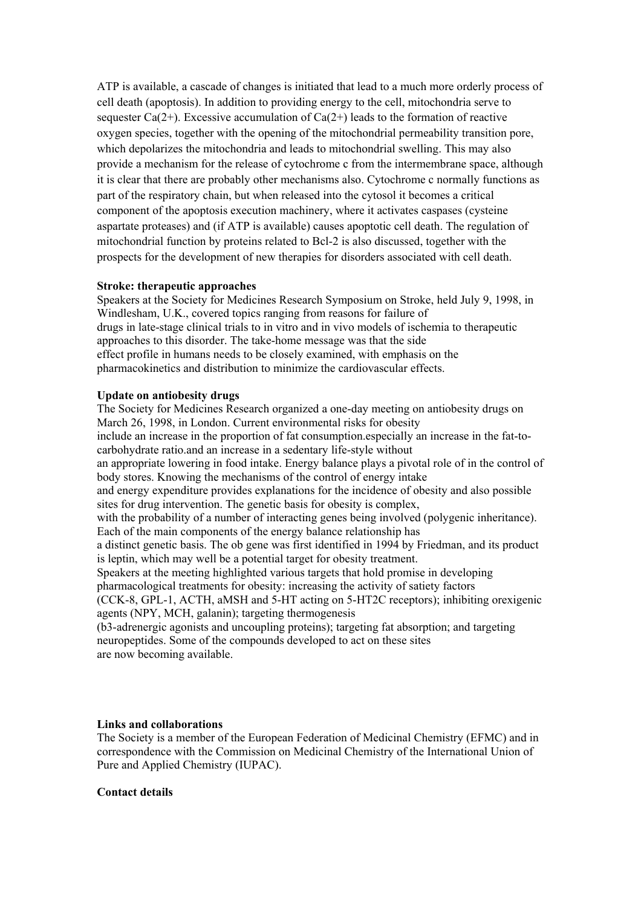ATP is available, a cascade of changes is initiated that lead to a much more orderly process of cell death (apoptosis). In addition to providing energy to the cell, mitochondria serve to sequester Ca(2+). Excessive accumulation of Ca(2+) leads to the formation of reactive oxygen species, together with the opening of the mitochondrial permeability transition pore, which depolarizes the mitochondria and leads to mitochondrial swelling. This may also provide a mechanism for the release of cytochrome c from the intermembrane space, although it is clear that there are probably other mechanisms also. Cytochrome c normally functions as part of the respiratory chain, but when released into the cytosol it becomes a critical component of the apoptosis execution machinery, where it activates caspases (cysteine aspartate proteases) and (if ATP is available) causes apoptotic cell death. The regulation of mitochondrial function by proteins related to Bcl-2 is also discussed, together with the prospects for the development of new therapies for disorders associated with cell death.

## **Stroke: therapeutic approaches**

Speakers at the Society for Medicines Research Symposium on Stroke, held July 9, 1998, in Windlesham, U.K., covered topics ranging from reasons for failure of drugs in late-stage clinical trials to in vitro and in vivo models of ischemia to therapeutic approaches to this disorder. The take-home message was that the side effect profile in humans needs to be closely examined, with emphasis on the pharmacokinetics and distribution to minimize the cardiovascular effects.

## **Update on antiobesity drugs**

The Society for Medicines Research organized a one-day meeting on antiobesity drugs on March 26, 1998, in London. Current environmental risks for obesity include an increase in the proportion of fat consumption.especially an increase in the fat-tocarbohydrate ratio.and an increase in a sedentary life-style without an appropriate lowering in food intake. Energy balance plays a pivotal role of in the control of body stores. Knowing the mechanisms of the control of energy intake and energy expenditure provides explanations for the incidence of obesity and also possible sites for drug intervention. The genetic basis for obesity is complex, with the probability of a number of interacting genes being involved (polygenic inheritance). Each of the main components of the energy balance relationship has a distinct genetic basis. The ob gene was first identified in 1994 by Friedman, and its product is leptin, which may well be a potential target for obesity treatment. Speakers at the meeting highlighted various targets that hold promise in developing pharmacological treatments for obesity: increasing the activity of satiety factors (CCK-8, GPL-1, ACTH, aMSH and 5-HT acting on 5-HT2C receptors); inhibiting orexigenic agents (NPY, MCH, galanin); targeting thermogenesis (b3-adrenergic agonists and uncoupling proteins); targeting fat absorption; and targeting neuropeptides. Some of the compounds developed to act on these sites are now becoming available.

## **Links and collaborations**

The Society is a member of the European Federation of Medicinal Chemistry (EFMC) and in correspondence with the Commission on Medicinal Chemistry of the International Union of Pure and Applied Chemistry (IUPAC).

#### **Contact details**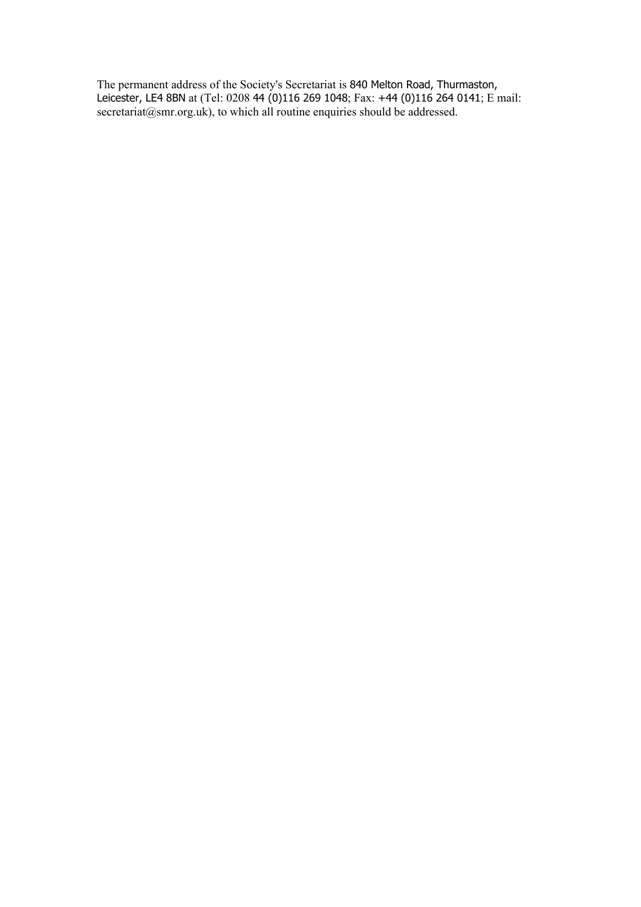The permanent address of the Society's Secretariat is 840 Melton Road, Thurmaston, Leicester, LE4 8BN at (Tel: 0208 44 (0)116 269 1048; Fax: +44 (0)116 264 0141; E mail: secretariat@smr.org.uk), to which all routine enquiries should be addressed.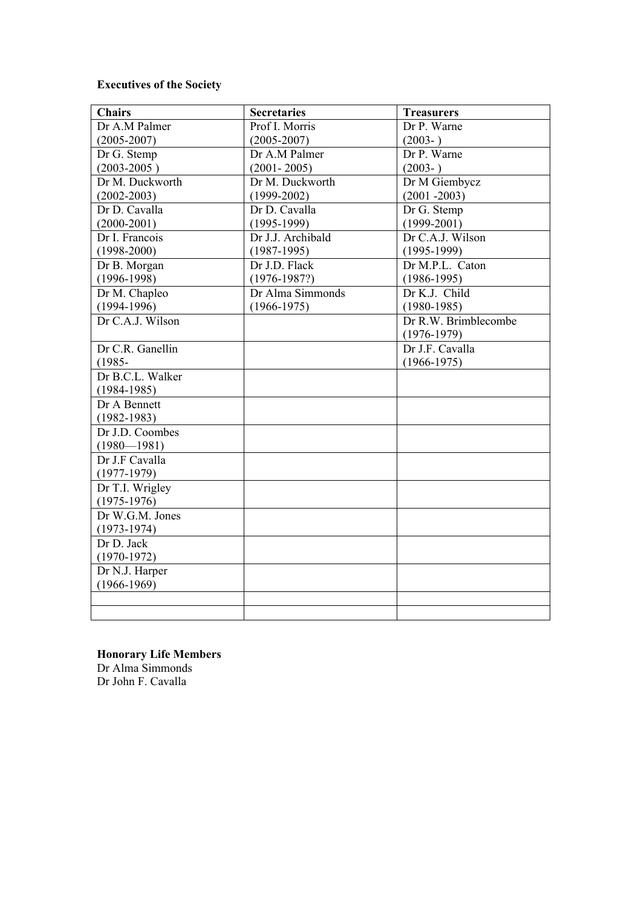# **Executives of the Society**

| <b>Chairs</b>    | <b>Secretaries</b> | <b>Treasurers</b>    |
|------------------|--------------------|----------------------|
| Dr A.M Palmer    | Prof I. Morris     | Dr P. Warne          |
| $(2005 - 2007)$  | $(2005 - 2007)$    | $(2003-)$            |
| Dr G. Stemp      | Dr A.M Palmer      | Dr P. Warne          |
| $(2003 - 2005)$  | $(2001 - 2005)$    | $(2003-)$            |
| Dr M. Duckworth  | Dr M. Duckworth    | Dr M Giembycz        |
| $(2002 - 2003)$  | $(1999 - 2002)$    | $(2001 - 2003)$      |
| Dr D. Cavalla    | Dr D. Cavalla      | Dr G. Stemp          |
| $(2000-2001)$    | $(1995-1999)$      | $(1999 - 2001)$      |
| Dr I. Francois   | Dr J.J. Archibald  | Dr C.A.J. Wilson     |
| $(1998 - 2000)$  | $(1987-1995)$      | $(1995-1999)$        |
| Dr B. Morgan     | Dr J.D. Flack      | Dr M.P.L. Caton      |
| $(1996 - 1998)$  | $(1976 - 1987?)$   | $(1986 - 1995)$      |
| Dr M. Chapleo    | Dr Alma Simmonds   | Dr K.J. Child        |
| $(1994-1996)$    | $(1966 - 1975)$    | $(1980 - 1985)$      |
| Dr C.A.J. Wilson |                    | Dr R.W. Brimblecombe |
|                  |                    | $(1976-1979)$        |
| Dr C.R. Ganellin |                    | Dr J.F. Cavalla      |
| $(1985 -$        |                    | $(1966 - 1975)$      |
| Dr B.C.L. Walker |                    |                      |
| $(1984 - 1985)$  |                    |                      |
| Dr A Bennett     |                    |                      |
| $(1982 - 1983)$  |                    |                      |
| Dr J.D. Coombes  |                    |                      |
| $(1980 - 1981)$  |                    |                      |
| Dr J.F Cavalla   |                    |                      |
| $(1977-1979)$    |                    |                      |
| Dr T.I. Wrigley  |                    |                      |
| $(1975-1976)$    |                    |                      |
| Dr W.G.M. Jones  |                    |                      |
| $(1973-1974)$    |                    |                      |
| Dr D. Jack       |                    |                      |
| $(1970-1972)$    |                    |                      |
| Dr N.J. Harper   |                    |                      |
| $(1966 - 1969)$  |                    |                      |
|                  |                    |                      |
|                  |                    |                      |

**Honorary Life Members**  Dr Alma Simmonds Dr John F. Cavalla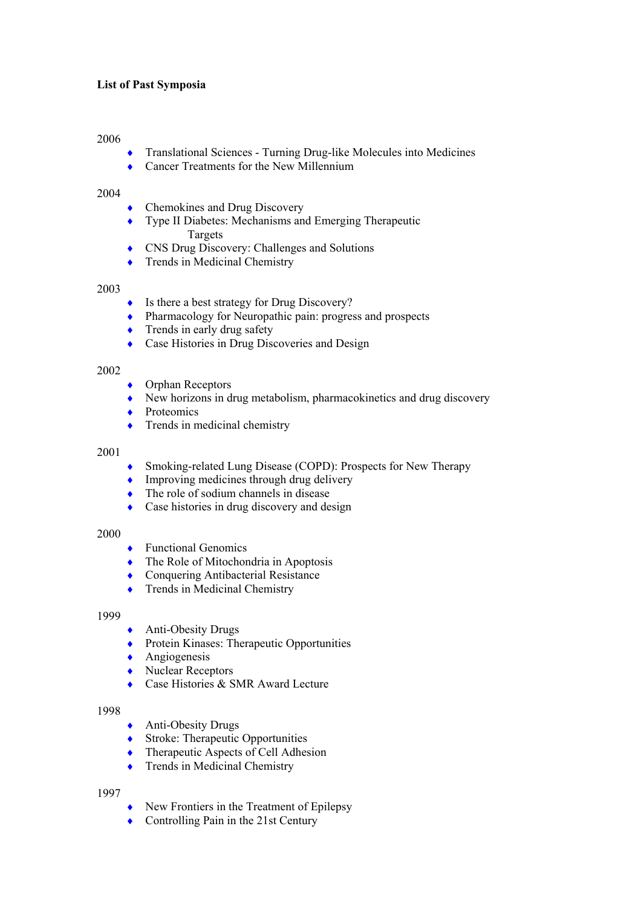# **List of Past Symposia**

## 2006

- ♦ Translational Sciences Turning Drug-like Molecules into Medicines
- Cancer Treatments for the New Millennium

#### 2004

- Chemokines and Drug Discovery
- ♦ Type II Diabetes: Mechanisms and Emerging Therapeutic Targets
- ♦ CNS Drug Discovery: Challenges and Solutions
- ◆ Trends in Medicinal Chemistry

## 2003

- ♦ Is there a best strategy for Drug Discovery?
- ♦ Pharmacology for Neuropathic pain: progress and prospects
- $\triangle$  Trends in early drug safety
- ♦ Case Histories in Drug Discoveries and Design

## 2002

- $\leftrightarrow$  Orphan Receptors
- ♦ New horizons in drug metabolism, pharmacokinetics and drug discovery
- ◆ Proteomics
- $\bullet$  Trends in medicinal chemistry

#### 2001

- Smoking-related Lung Disease (COPD): Prospects for New Therapy
- Improving medicines through drug delivery
- The role of sodium channels in disease
- Case histories in drug discovery and design

## 2000

- ◆ Functional Genomics
- The Role of Mitochondria in Apoptosis
- ♦ Conquering Antibacterial Resistance
- Trends in Medicinal Chemistry

#### 1999

- ◆ Anti-Obesity Drugs
- ◆ Protein Kinases: Therapeutic Opportunities
- $\leftrightarrow$  Angiogenesis
- ◆ Nuclear Receptors
- Case Histories & SMR Award Lecture

#### 1998

- ♦ Anti-Obesity Drugs
- ◆ Stroke: Therapeutic Opportunities
- Therapeutic Aspects of Cell Adhesion
- ◆ Trends in Medicinal Chemistry

- ♦ New Frontiers in the Treatment of Epilepsy
- ♦ Controlling Pain in the 21st Century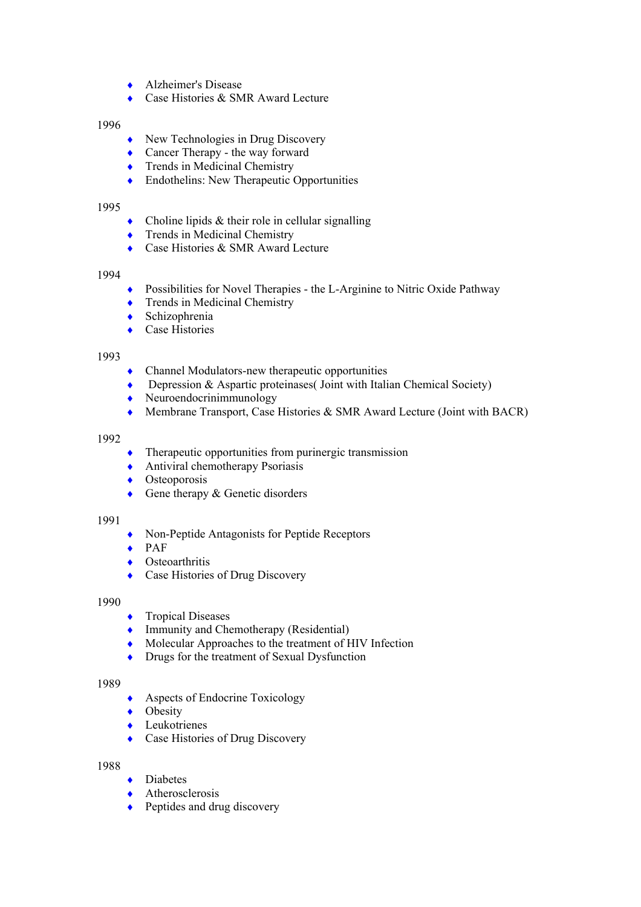- ♦ Alzheimer's Disease
- ♦ Case Histories & SMR Award Lecture

- New Technologies in Drug Discovery
- ◆ Cancer Therapy the way forward
- $\triangle$  Trends in Medicinal Chemistry
- ♦ Endothelins: New Therapeutic Opportunities

## 1995

- $\bullet$  Choline lipids & their role in cellular signalling
- Trends in Medicinal Chemistry
- ◆ Case Histories & SMR Award Lecture

## 1994

- ♦ Possibilities for Novel Therapies the L-Arginine to Nitric Oxide Pathway
- $\triangle$  Trends in Medicinal Chemistry
- ♦ Schizophrenia
- ◆ Case Histories

## 1993

- $\bullet$  Channel Modulators-new therapeutic opportunities
- ♦ Depression & Aspartic proteinases( Joint with Italian Chemical Society)
- $\bullet$  Neuroendocrinimmunology
- ♦ Membrane Transport, Case Histories & SMR Award Lecture (Joint with BACR)

#### 1992

- $\bullet$  Therapeutic opportunities from purinergic transmission
- $\triangle$  Antiviral chemotherapy Psoriasis
- ◆ Osteoporosis
- $\triangle$  Gene therapy & Genetic disorders

## 1991

- ♦ Non-Peptide Antagonists for Peptide Receptors
- $\leftrightarrow$  PAF
- $\bullet$  Osteoarthritis
- Case Histories of Drug Discovery

## 1990

- ◆ Tropical Diseases
- ♦ Immunity and Chemotherapy (Residential)
- ♦ Molecular Approaches to the treatment of HIV Infection
- Drugs for the treatment of Sexual Dysfunction

#### 1989

- ◆ Aspects of Endocrine Toxicology
- ◆ Obesity
- ♦ Leukotrienes
- ◆ Case Histories of Drug Discovery

- ◆ Diabetes
- Atherosclerosis
- Peptides and drug discovery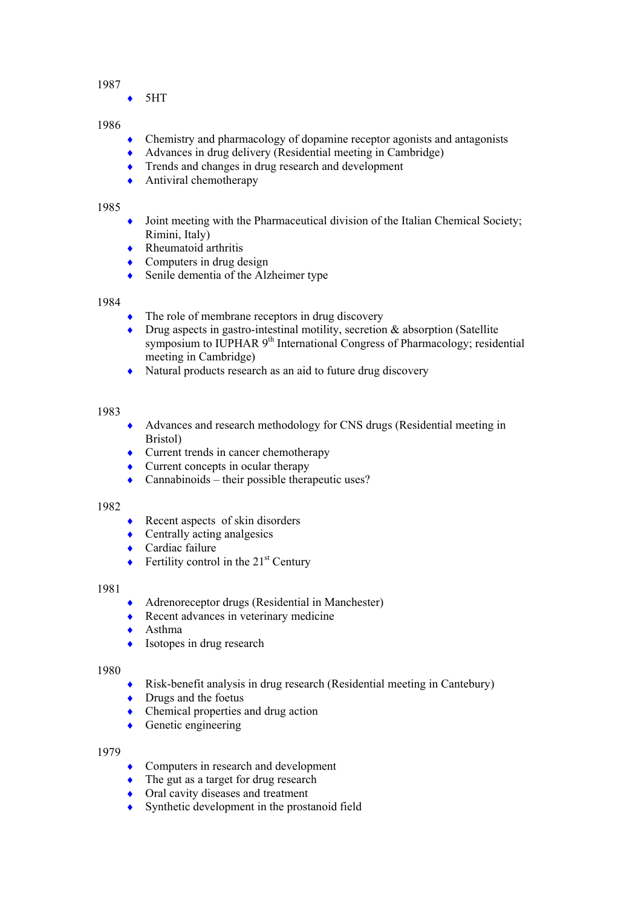5HT

## 1986

- ♦ Chemistry and pharmacology of dopamine receptor agonists and antagonists
- Advances in drug delivery (Residential meeting in Cambridge)
- ♦ Trends and changes in drug research and development
- $\leftrightarrow$  Antiviral chemotherapy

## 1985

- $\bullet$  Joint meeting with the Pharmaceutical division of the Italian Chemical Society; Rimini, Italy)
- $\triangle$  Rheumatoid arthritis
- Computers in drug design
- ♦ Senile dementia of the Alzheimer type

## 1984

- $\bullet$  The role of membrane receptors in drug discovery
- ♦ Drug aspects in gastro-intestinal motility, secretion & absorption (Satellite symposium to IUPHAR 9<sup>th</sup> International Congress of Pharmacology; residential meeting in Cambridge)
- ♦ Natural products research as an aid to future drug discovery

## 1983

- ♦ Advances and research methodology for CNS drugs (Residential meeting in Bristol)
- Current trends in cancer chemotherapy
- $\triangle$  Current concepts in ocular therapy
- $Camabinoids their possible therapeutic uses?$

## 1982

- $\triangle$  Recent aspects of skin disorders
- Centrally acting analgesics
- ◆ Cardiac failure
- $\triangle$  Fertility control in the 21<sup>st</sup> Century

## 1981

- ♦ Adrenoreceptor drugs (Residential in Manchester)
- ♦ Recent advances in veterinary medicine
- ♦ Asthma
- $\bullet$  Isotopes in drug research

#### 1980

- Risk-benefit analysis in drug research (Residential meeting in Cantebury)
- Drugs and the foetus
- Chemical properties and drug action
- $\leftarrow$  Genetic engineering

- ♦ Computers in research and development
- The gut as a target for drug research
- Oral cavity diseases and treatment
- Synthetic development in the prostanoid field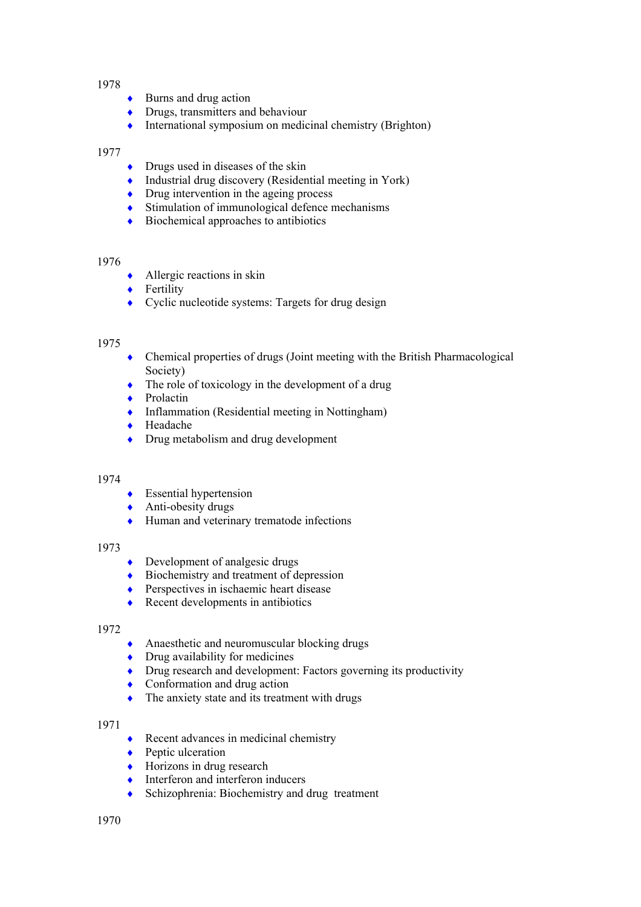- $\triangle$  Burns and drug action
- $\bullet$  Drugs, transmitters and behaviour
- ♦ International symposium on medicinal chemistry (Brighton)

## 1977

- $\bullet$  Drugs used in diseases of the skin
- ♦ Industrial drug discovery (Residential meeting in York)
- $\bullet$  Drug intervention in the ageing process
- $\bullet$  Stimulation of immunological defence mechanisms
- $\bullet$  Biochemical approaches to antibiotics

#### 1976

- $\triangle$  Allergic reactions in skin
- ◆ Fertility
- ♦ Cyclic nucleotide systems: Targets for drug design

#### 1975

- ♦ Chemical properties of drugs (Joint meeting with the British Pharmacological Society)
- $\bullet$  The role of toxicology in the development of a drug
- ◆ Prolactin
- ♦ Inflammation (Residential meeting in Nottingham)
- ◆ Headache
- Drug metabolism and drug development

## 1974

- $\bullet$  Essential hypertension
- $\triangle$  Anti-obesity drugs
- ♦ Human and veterinary trematode infections

#### 1973

- $\bullet$  Development of analgesic drugs
- ◆ Biochemistry and treatment of depression
- ◆ Perspectives in ischaemic heart disease
- $\triangle$  Recent developments in antibiotics

#### 1972

- ♦ Anaesthetic and neuromuscular blocking drugs
- $\bullet$  Drug availability for medicines
- ♦ Drug research and development: Factors governing its productivity
- $\bullet$  Conformation and drug action
- The anxiety state and its treatment with drugs

- $\triangle$  Recent advances in medicinal chemistry
- ◆ Peptic ulceration
- $\leftrightarrow$  Horizons in drug research
- Interferon and interferon inducers
- Schizophrenia: Biochemistry and drug treatment